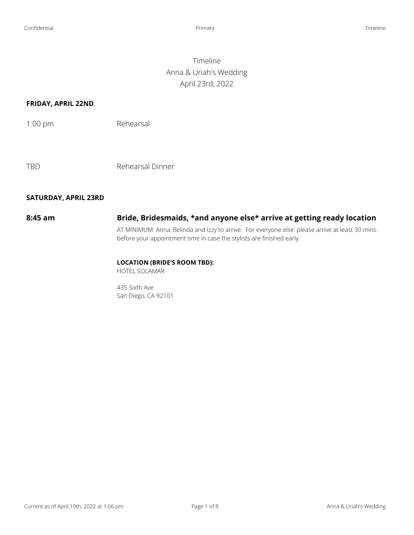## Timeline Anna & Uriah's Wedding April 23rd, 2022

## **FRIDAY, APRIL 22ND**

TBD Rehearsal Dinner

### **SATURDAY, APRIL 23RD**

# **8:45 am Bride, Bridesmaids, \*and anyone else\* arrive at getting ready location**

AT MINIMUM: Anna, Belinda and Izzy to arrive. For everyone else: please arrive at least 30 mins. before your appointment time in case the stylists are finished early.

## **LOCATION (BRIDE'S ROOM TBD):**

HOTEL SOLAMAR

435 Sixth Ave San Diego, CA 92101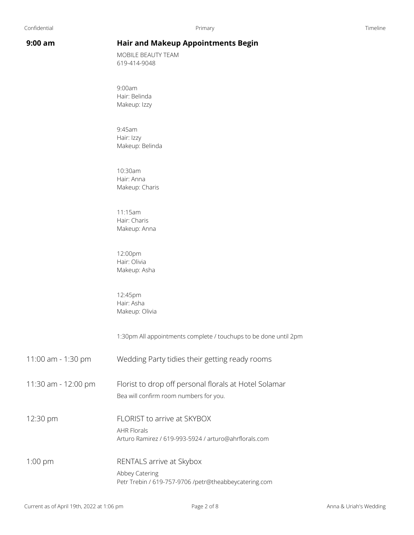## **9:00 am Hair and Makeup Appointments Begin**

MOBILE BEAUTY TEAM 619-414-9048

9:00am Hair: Belinda Makeup: Izzy

9:45am Hair: Izzy Makeup: Belinda

10:30am Hair: Anna Makeup: Charis

11:15am Hair: Charis Makeup: Anna

12:00pm Hair: Olivia Makeup: Asha

12:45pm Hair: Asha Makeup: Olivia

1:30pm All appointments complete / touchups to be done until 2pm

11:00 am - 1:30 pm Wedding Party tidies their getting ready rooms

11:30 am - 12:00 pm Florist to drop off personal florals at Hotel Solamar Bea will confirm room numbers for you.

12:30 pm FLORIST to arrive at SKYBOX AHR Florals Arturo Ramirez / 619-993-5924 / arturo@ahrflorals.com

1:00 pm RENTALS arrive at Skybox Abbey Catering Petr Trebin / 619-757-9706 /petr@theabbeycatering.com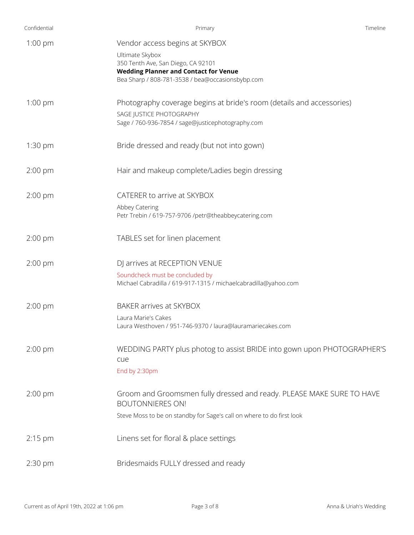| Confidential | Primary                                                                            | Timeline |
|--------------|------------------------------------------------------------------------------------|----------|
| $1:00$ pm    | Vendor access begins at SKYBOX                                                     |          |
|              | Ultimate Skybox                                                                    |          |
|              | 350 Tenth Ave, San Diego, CA 92101<br><b>Wedding Planner and Contact for Venue</b> |          |
|              | Bea Sharp / 808-781-3538 / bea@occasionsbybp.com                                   |          |
| $1:00$ pm    | Photography coverage begins at bride's room (details and accessories)              |          |
|              | SAGE JUSTICE PHOTOGRAPHY                                                           |          |
|              | Sage / 760-936-7854 / sage@justicephotography.com                                  |          |
| $1:30$ pm    | Bride dressed and ready (but not into gown)                                        |          |
| $2:00$ pm    | Hair and makeup complete/Ladies begin dressing                                     |          |
| $2:00$ pm    | CATERER to arrive at SKYBOX                                                        |          |
|              | Abbey Catering                                                                     |          |
|              | Petr Trebin / 619-757-9706 /petr@theabbeycatering.com                              |          |
| $2:00$ pm    | TABLES set for linen placement                                                     |          |
| $2:00$ pm    | DJ arrives at RECEPTION VENUE                                                      |          |
|              | Soundcheck must be concluded by                                                    |          |
|              | Michael Cabradilla / 619-917-1315 / michaelcabradilla@yahoo.com                    |          |
| $2:00$ pm    | BAKER arrives at SKYBOX                                                            |          |
|              | Laura Marie's Cakes<br>Laura Westhoven / 951-746-9370 / laura@lauramariecakes.com  |          |
|              |                                                                                    |          |
| $2:00$ pm    | WEDDING PARTY plus photog to assist BRIDE into gown upon PHOTOGRAPHER'S            |          |
|              | cue                                                                                |          |
|              | End by 2:30pm                                                                      |          |
| $2:00$ pm    | Groom and Groomsmen fully dressed and ready. PLEASE MAKE SURE TO HAVE              |          |
|              | <b>BOUTONNIERES ON!</b>                                                            |          |
|              | Steve Moss to be on standby for Sage's call on where to do first look              |          |
| $2:15$ pm    | Linens set for floral & place settings                                             |          |
| 2:30 pm      | Bridesmaids FULLY dressed and ready                                                |          |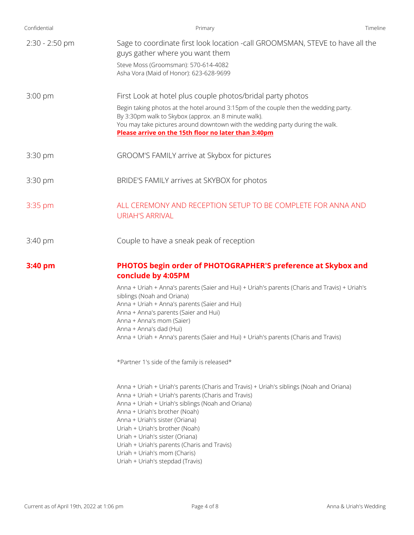| Primary                                                                                                                                                                                                                                                                                                                                                                                                                                                       | Timeline                                      |
|---------------------------------------------------------------------------------------------------------------------------------------------------------------------------------------------------------------------------------------------------------------------------------------------------------------------------------------------------------------------------------------------------------------------------------------------------------------|-----------------------------------------------|
| Sage to coordinate first look location -call GROOMSMAN, STEVE to have all the<br>guys gather where you want them                                                                                                                                                                                                                                                                                                                                              |                                               |
| Steve Moss (Groomsman): 570-614-4082<br>Asha Vora (Maid of Honor): 623-628-9699                                                                                                                                                                                                                                                                                                                                                                               |                                               |
| First Look at hotel plus couple photos/bridal party photos                                                                                                                                                                                                                                                                                                                                                                                                    |                                               |
| Begin taking photos at the hotel around 3:15pm of the couple then the wedding party.<br>By 3:30pm walk to Skybox (approx. an 8 minute walk).<br>You may take pictures around downtown with the wedding party during the walk.<br>Please arrive on the 15th floor no later than 3:40pm                                                                                                                                                                         |                                               |
| GROOM'S FAMILY arrive at Skybox for pictures                                                                                                                                                                                                                                                                                                                                                                                                                  |                                               |
| BRIDE'S FAMILY arrives at SKYBOX for photos                                                                                                                                                                                                                                                                                                                                                                                                                   |                                               |
| ALL CEREMONY AND RECEPTION SETUP TO BE COMPLETE FOR ANNA AND<br><b>URIAH'S ARRIVAL</b>                                                                                                                                                                                                                                                                                                                                                                        |                                               |
| Couple to have a sneak peak of reception                                                                                                                                                                                                                                                                                                                                                                                                                      |                                               |
| PHOTOS begin order of PHOTOGRAPHER'S preference at Skybox and<br>conclude by 4:05PM                                                                                                                                                                                                                                                                                                                                                                           |                                               |
| Anna + Uriah + Anna's parents (Saier and Hui) + Uriah's parents (Charis and Travis) + Uriah's<br>siblings (Noah and Oriana)                                                                                                                                                                                                                                                                                                                                   |                                               |
| Anna + Anna's parents (Saier and Hui)<br>Anna + Anna's mom (Saier)                                                                                                                                                                                                                                                                                                                                                                                            |                                               |
| Anna + Anna's dad (Hui)<br>Anna + Uriah + Anna's parents (Saier and Hui) + Uriah's parents (Charis and Travis)                                                                                                                                                                                                                                                                                                                                                |                                               |
| *Partner 1's side of the family is released*                                                                                                                                                                                                                                                                                                                                                                                                                  |                                               |
| Anna + Uriah + Uriah's parents (Charis and Travis) + Uriah's siblings (Noah and Oriana)<br>Anna + Uriah + Uriah's parents (Charis and Travis)<br>Anna + Uriah + Uriah's siblings (Noah and Oriana)<br>Anna + Uriah's brother (Noah)<br>Anna + Uriah's sister (Oriana)<br>Uriah + Uriah's brother (Noah)<br>Uriah + Uriah's sister (Oriana)<br>Uriah + Uriah's parents (Charis and Travis)<br>Uriah + Uriah's mom (Charis)<br>Uriah + Uriah's stepdad (Travis) |                                               |
|                                                                                                                                                                                                                                                                                                                                                                                                                                                               | Anna + Uriah + Anna's parents (Saier and Hui) |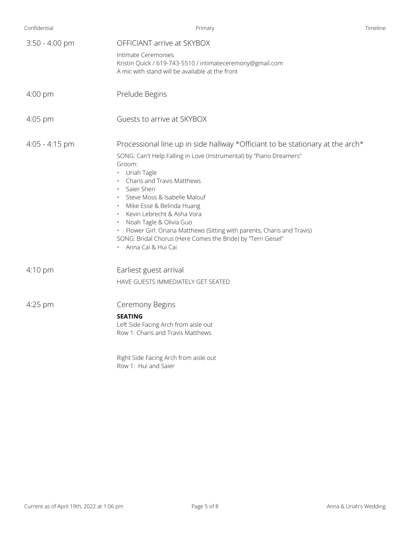| Primary                                                                                                                                                                                                                                                                                                                                                                                                                                                                                                                                                          | Timeline                                                                                           |
|------------------------------------------------------------------------------------------------------------------------------------------------------------------------------------------------------------------------------------------------------------------------------------------------------------------------------------------------------------------------------------------------------------------------------------------------------------------------------------------------------------------------------------------------------------------|----------------------------------------------------------------------------------------------------|
| OFFICIANT arrive at SKYBOX<br>Intimate Ceremonies                                                                                                                                                                                                                                                                                                                                                                                                                                                                                                                |                                                                                                    |
| A mic with stand will be available at the front                                                                                                                                                                                                                                                                                                                                                                                                                                                                                                                  |                                                                                                    |
| Prelude Begins                                                                                                                                                                                                                                                                                                                                                                                                                                                                                                                                                   |                                                                                                    |
| Guests to arrive at SKYBOX                                                                                                                                                                                                                                                                                                                                                                                                                                                                                                                                       |                                                                                                    |
| Processional line up in side hallway *Officiant to be stationary at the arch*<br>SONG: Can't Help Falling in Love (Instrumental) by "Piano Dreamers"<br>Groom:<br>• Uriah Tagle<br>Charis and Travis Matthews<br>$\bullet$<br>Saier Shen<br>$\bullet$<br>Steve Moss & Isabelle Malouf<br>$\bullet$<br>· Mike Esse & Belinda Huang<br>Kevin Lebrecht & Asha Vora<br>· Noah Tagle & Olivia Guo<br>· Flower Girl: Oriana Matthews (Sitting with parents, Charis and Travis)<br>SONG: Bridal Chorus (Here Comes the Bride) by "Terri Geisel"<br>• Anna Cai & Hui Cai |                                                                                                    |
| Earliest guest arrival<br>HAVE GUESTS IMMEDIATELY GET SEATED                                                                                                                                                                                                                                                                                                                                                                                                                                                                                                     |                                                                                                    |
| Ceremony Begins<br><b>SEATING</b><br>Left Side Facing Arch from aisle out<br>Row 1: Charis and Travis Matthews                                                                                                                                                                                                                                                                                                                                                                                                                                                   |                                                                                                    |
|                                                                                                                                                                                                                                                                                                                                                                                                                                                                                                                                                                  | Kristin Quick / 619-743-5510 / intimateceremony@gmail.com<br>Right Side Facing Arch from aisle out |

Row 1: Hui and Saier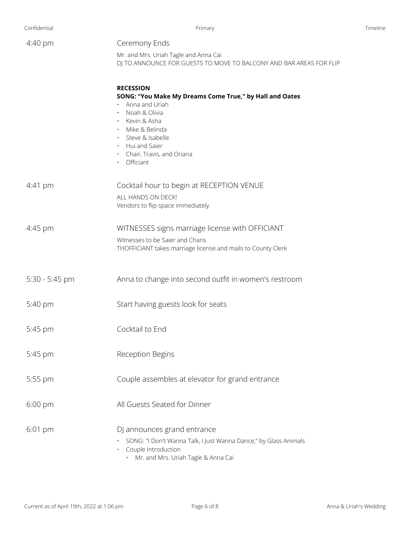| Confidential | Primary | ïmeline |
|--------------|---------|---------|
|              |         |         |

| 4:40 pm           | Ceremony Ends<br>Mr. and Mrs. Uriah Tagle and Anna Cai                                                                                                                                                                                      |
|-------------------|---------------------------------------------------------------------------------------------------------------------------------------------------------------------------------------------------------------------------------------------|
|                   | DJ TO ANNOUNCE FOR GUESTS TO MOVE TO BALCONY AND BAR AREAS FOR FLIP                                                                                                                                                                         |
|                   | <b>RECESSION</b><br>SONG: "You Make My Dreams Come True," by Hall and Oates<br>Anna and Uriah<br>Noah & Olivia<br>· Kevin & Asha<br>· Mike & Belinda<br>· Steve & Isabelle<br>• Hui and Saier<br>· Chair, Travis, and Oriana<br>· Officiant |
| $4:41 \text{ pm}$ | Cocktail hour to begin at RECEPTION VENUE<br>ALL HANDS ON DECK!<br>Vendors to flip space immediately.                                                                                                                                       |
| 4:45 pm           | WITNESSES signs marriage license with OFFICIANT<br>Witnesses to be Saier and Charis<br>THOFFICIANT takes marriage license and mails to County Clerk                                                                                         |
| 5:30 - 5:45 pm    | Anna to change into second outfit in women's restroom                                                                                                                                                                                       |
| 5:40 pm           | Start having guests look for seats                                                                                                                                                                                                          |
| 5:45 pm           | Cocktail to End                                                                                                                                                                                                                             |
| 5:45 pm           | Reception Begins                                                                                                                                                                                                                            |
| 5:55 pm           | Couple assembles at elevator for grand entrance                                                                                                                                                                                             |
| $6:00$ pm         | All Guests Seated for Dinner                                                                                                                                                                                                                |
| 6:01 pm           | DJ announces grand entrance<br>SONG: "I Don't Wanna Talk, I Just Wanna Dance," by Glass Animals<br>Couple Introduction<br>Mr. and Mrs. Uriah Tagle & Anna Cai                                                                               |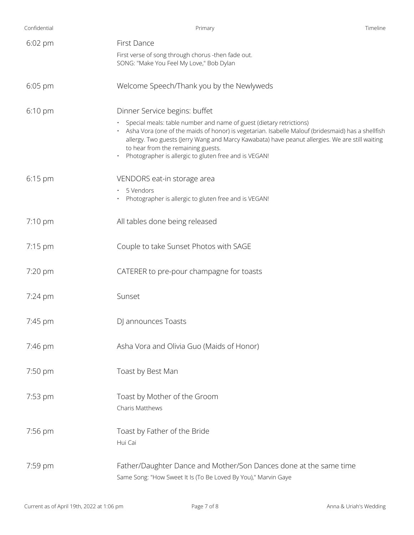| Confidential      | Primary                                                                                                                                                                                                                                                                                                    | Timeline |
|-------------------|------------------------------------------------------------------------------------------------------------------------------------------------------------------------------------------------------------------------------------------------------------------------------------------------------------|----------|
| 6:02 pm           | First Dance                                                                                                                                                                                                                                                                                                |          |
|                   | First verse of song through chorus -then fade out.<br>SONG: "Make You Feel My Love," Bob Dylan                                                                                                                                                                                                             |          |
| $6:05$ pm         | Welcome Speech/Thank you by the Newlyweds                                                                                                                                                                                                                                                                  |          |
| 6:10 pm           | Dinner Service begins: buffet<br>Special meals: table number and name of guest (dietary retrictions)                                                                                                                                                                                                       |          |
|                   | · Asha Vora (one of the maids of honor) is vegetarian. Isabelle Malouf (bridesmaid) has a shellfish<br>allergy. Two guests (Jerry Wang and Marcy Kawabata) have peanut allergies. We are still waiting<br>to hear from the remaining guests.<br>Photographer is allergic to gluten free and is VEGAN!<br>٠ |          |
| 6:15 pm           | VENDORS eat-in storage area                                                                                                                                                                                                                                                                                |          |
|                   | 5 Vendors<br>$\bullet$<br>Photographer is allergic to gluten free and is VEGAN!                                                                                                                                                                                                                            |          |
| $7:10 \text{ pm}$ | All tables done being released                                                                                                                                                                                                                                                                             |          |
| 7:15 pm           | Couple to take Sunset Photos with SAGE                                                                                                                                                                                                                                                                     |          |
| 7:20 pm           | CATERER to pre-pour champagne for toasts                                                                                                                                                                                                                                                                   |          |
| 7:24 pm           | Sunset                                                                                                                                                                                                                                                                                                     |          |
| 7:45 pm           | DJ announces Toasts                                                                                                                                                                                                                                                                                        |          |
| 7:46 pm           | Asha Vora and Olivia Guo (Maids of Honor)                                                                                                                                                                                                                                                                  |          |
| 7:50 pm           | Toast by Best Man                                                                                                                                                                                                                                                                                          |          |
| 7:53 pm           | Toast by Mother of the Groom<br>Charis Matthews                                                                                                                                                                                                                                                            |          |
| 7:56 pm           | Toast by Father of the Bride<br>Hui Cai                                                                                                                                                                                                                                                                    |          |
| 7:59 pm           | Father/Daughter Dance and Mother/Son Dances done at the same time<br>Same Song: "How Sweet It Is (To Be Loved By You)," Marvin Gaye                                                                                                                                                                        |          |